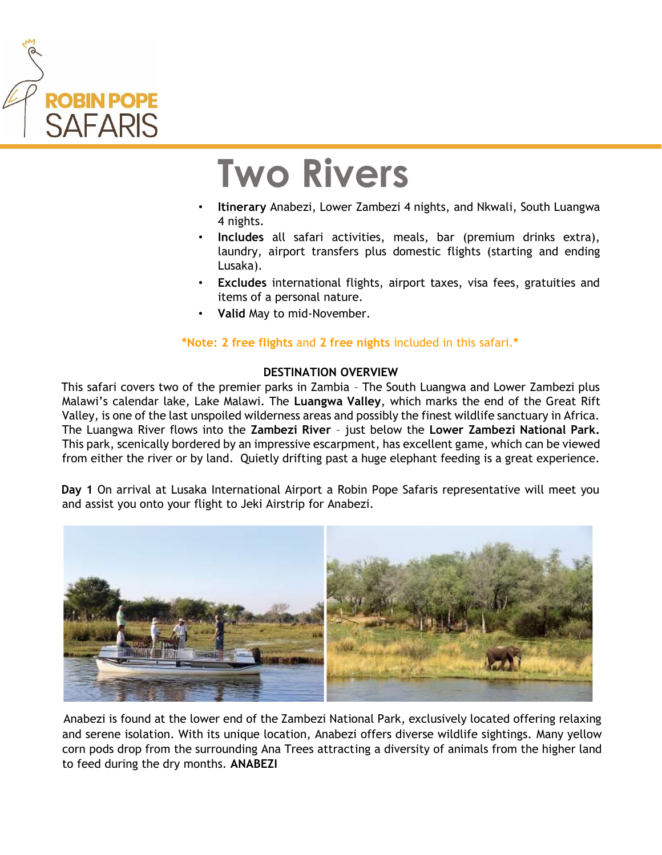

## **Two Rivers**

- **Itinerary** Anabezi, Lower Zambezi 4 nights, and Nkwali, South Luangwa 4 nights.
- **Includes** all safari activities, meals, bar (premium drinks extra), laundry, airport transfers plus domestic flights (starting and ending Lusaka).
- **Excludes** international flights, airport taxes, visa fees, gratuities and items of a personal nature.
- **Valid** May to mid-November.

## **\*Note: 2 free flights** and **2 free nights** included in this safari.**\***

## **DESTINATION OVERVIEW**

This safari covers two of the premier parks in Zambia – The South Luangwa and Lower Zambezi plus Malawi's calendar lake, Lake Malawi. The **Luangwa Valley**, which marks the end of the Great Rift Valley, is one of the last unspoiled wilderness areas and possibly the finest wildlife sanctuary in Africa. The Luangwa River flows into the **Zambezi River** – just below the **Lower Zambezi National Park.** This park, scenically bordered by an impressive escarpment, has excellent game, which can be viewed from either the river or by land. Quietly drifting past a huge elephant feeding is a great experience.

**Day 1** On arrival at Lusaka International Airport a Robin Pope Safaris representative will meet you and assist you onto your flight to Jeki Airstrip for Anabezi.



Anabezi is found at the lower end of the Zambezi National Park, exclusively located offering relaxing and serene isolation. With its unique location, Anabezi offers diverse wildlife sightings. Many yellow corn pods drop from the surrounding Ana Trees attracting a diversity of animals from the higher land to feed during the dry months. **ANABEZI**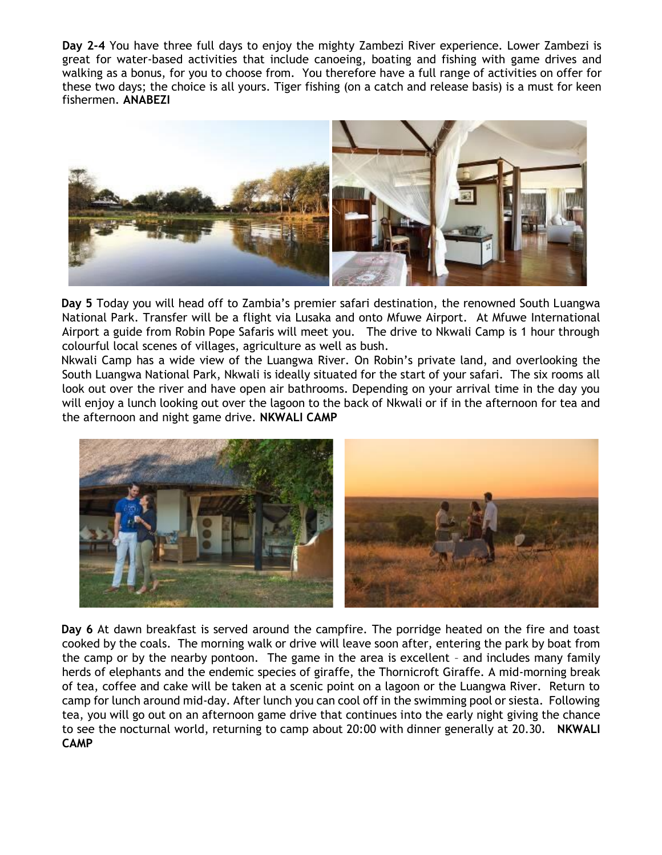**Day 2-4** You have three full days to enjoy the mighty Zambezi River experience. Lower Zambezi is great for water-based activities that include canoeing, boating and fishing with game drives and walking as a bonus, for you to choose from. You therefore have a full range of activities on offer for these two days; the choice is all yours. Tiger fishing (on a catch and release basis) is a must for keen fishermen. **ANABEZI** 



**Day 5** Today you will head off to Zambia's premier safari destination, the renowned South Luangwa National Park. Transfer will be a flight via Lusaka and onto Mfuwe Airport. At Mfuwe International Airport a guide from Robin Pope Safaris will meet you. The drive to Nkwali Camp is 1 hour through colourful local scenes of villages, agriculture as well as bush.

Nkwali Camp has a wide view of the Luangwa River. On Robin's private land, and overlooking the South Luangwa National Park, Nkwali is ideally situated for the start of your safari. The six rooms all look out over the river and have open air bathrooms. Depending on your arrival time in the day you will enjoy a lunch looking out over the lagoon to the back of Nkwali or if in the afternoon for tea and the afternoon and night game drive. **NKWALI CAMP**



**Day 6** At dawn breakfast is served around the campfire. The porridge heated on the fire and toast cooked by the coals. The morning walk or drive will leave soon after, entering the park by boat from the camp or by the nearby pontoon. The game in the area is excellent – and includes many family herds of elephants and the endemic species of giraffe, the Thornicroft Giraffe. A mid-morning break of tea, coffee and cake will be taken at a scenic point on a lagoon or the Luangwa River. Return to camp for lunch around mid-day. After lunch you can cool off in the swimming pool or siesta. Following tea, you will go out on an afternoon game drive that continues into the early night giving the chance to see the nocturnal world, returning to camp about 20:00 with dinner generally at 20.30. **NKWALI CAMP**